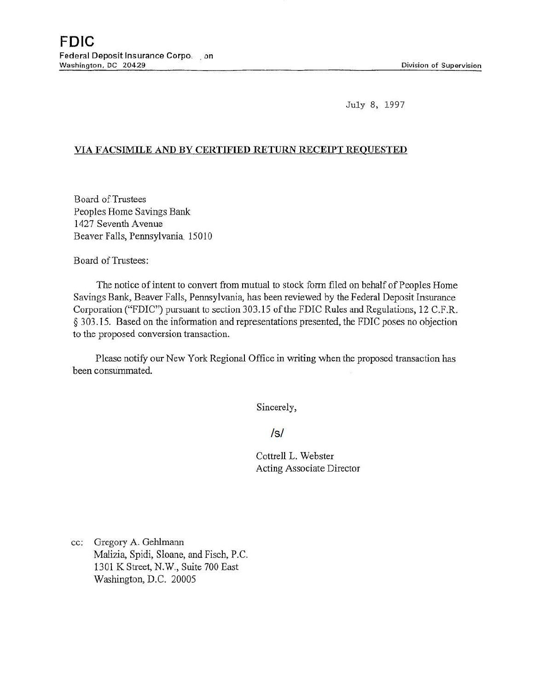July 8, 1997

## VIA FACSIMILE AND BY CERTIFIED RETURN RECEIPT REQUESTED

Board of.Trustees Peoples Home Savings Bank 1427 Seventh Avenue Beaver Falls, Permsylvania. 15010

Board of Trustees:

The notice of intent to convert from mutual to stock form filed on behalf of Peoples Home Savings Bank, Beaver Falls, Pennsylvania, has been reviewed by the Federal Deposit Insurance Corporation ("FDIC") pursuant to section 303.15 of the FDIC Rules and Regulations, 12 C.F.R. § 303.15. Based on the information and representations presented, the FDIC poses no objection to the proposed conversion transaction.

Please notify our New York Regional Office in writing when the proposed transaction has been consummated.

Sincerely,

/s/

Cottrell L. Webster Acting Associate Director

cc: Gregory A. Gehlmann Malizia, Spidi, Sloane, and Fisch, P.C. 1301 K Street, N.W., Suite 700 East Washington, D.C. 20005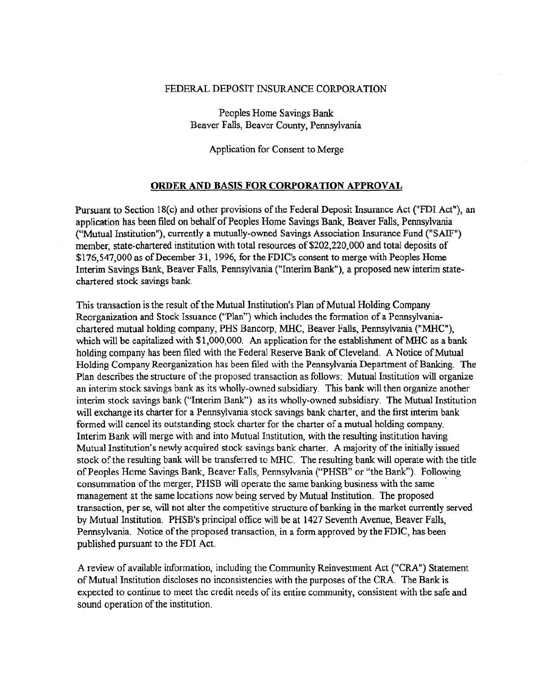## FEDERAL DEPOSIT INSURANCE CORPORATION

Peoples Home Savings Bank Beaver Falls, Beaver County, Pennsylvania

Application for Consent to Merge

## ORDER AND BASIS FOR CORPORATION APPROVAL

Pursuant to Section 18(c) and other provisions of the Federal Deposit Insurance Act ("FDI Act"), an application has been filed on behalf of Peoples Home Savings Bank, Beaver Falls, Pennsylvania ("Mutual Institution"), currently a mutually-owned Savings Association Insurance Fund ("SAIF") member, state-chartered institution with total resources of \$202,220,000 and total deposits of \$176,547,000 as of December 31, 1996, for the FDIC's consent to merge with Peoples Home Interim Savings Bank, Beaver Falls, Pennsylvania ("Interim Bank"), a proposed new interim statechartered stock savings bank.

This transaction is the result of the Mutual Institution's Plan of Mutual Holding Company Reorganization and Stock Issuance ("Plan") which includes the formation of a Pennsylvaniachartered mutual holding company, PHS Bancorp, MHC, Beaver Falls, Pennsylvania ("MHC"), which will be capitalized with \$1,000,000. An application for the establishment of MHC as a bank holding company has been filed with the Federal Reserve Bank of Cleveland. A Notice of Mutual Holding Company Reorganization has been filed with the Pennsylvania Department of Banking. The Plan describes the structure of the proposed transaction as follows: Mutual Institution will organize an interim stock savings bank as its wholly-owned subsidiary. This bank will then organize another interim stock savings bank ("Interim Bank") as its wholly-owned subsidiary. The Mutual Institution will exchange its charter for a Pennsylvania stock savings bank charter, and the first interim bank formed will cancel its outstanding stock charter for the charter of a mutual holding company. Interim Bank will merge with and into Mutual Institution, with the resulting institution having Mutua] Institution's newly acquired stock savings bank charter. A majority of the initially issued stock of the resulting bank will be transferred to MHC. The resulting bank will operate with the title of Peoples Home Savings Bank, Beaver Falls, Pennsylvania ("PHSB" or "the Bank"). Following consummation of the merger, PHSB will operate the same banking business with the same management at the same locations now being served by Mutual Institution. The proposed transaction, per se, will not alter the competitive structure of banking in the market currently served by Mutual Institution. PHSB's principal office will be at 1427 Seventh Avenue, Beaver Falls, Pennsylvania. Notice of the proposed transaction, in a form approved by the FDIC, has been published pursuant to the FDI Act.

A review of available information, including the Community Reinvestment Act ("CRA") Statement of Mutual Institution discloses no inconsistencies with the purposes of the CRA. The Bank is expected to continue to meet the credit needs of its entire community, consistent with the safe and sound operation of the institution.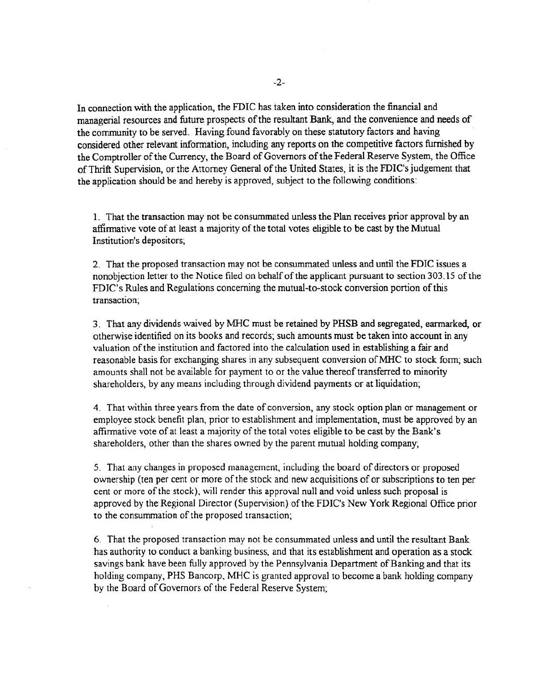In connection with the application, the FDIC has taken into consideration the financial and managerial resources and future prospects of the resultant Bank, and the convenience and needs of the community to be served. Having found favorably on these statutory factors and having considered other relevant information, including any reports on the competitive factors furnished by the Comptroller of the Currency, the Board of Governors of the Federal Reserve System, the Office ofThrift Supervision, or the Attorney General of the United States, it is the FDIC's judgement that the application should be and hereby is approved, subject to the following conditions:

1. That the transaction may not be consummated unless the Plan receives prior approval by an aftirmative vote of at least a majority of the total votes eligible to be cast by the Mutual Institution's depositors;

2. That the proposed transaction may not be consummated unless and until the FDIC issues a nonobjection letter to the Notice filed on behalf of the applicant pursuant to section 303.15 of the FDIC's Rules and Regulations concerning the mutual-to-stock conversion portion of this transaction;

3. That any dividends waived by MHC must be retained by PHSB and segregated, earmarked, or otherwise identified on its books and records; such amounts must be taken into account in any valuation of the institution and factored into the calculation used in establishing a fair and reasonable basis for exchanging shares in any subsequent conversion of MHC to stock form; such amounts shall not be available for payment to or the value thereof transferred to minority shareholders, by any means including through dividend payments or at liquidation;

4. That within three years from the date of conversion, any stock option plan or management or employee stock benefit plan, prior to establishment and implementation, must be approved by an affirmative vote of at least a majority of the total votes eligible to be cast by the Bank's shareholders, other than the shares owned by the parent mutual holding company;

5. That any changes in proposed management, including the board of directors or proposed ownership (ten per cent or more of the stock and new acquisitions of or subscriptions to ten per cent or more of the stock). will render this approval null and void unless such proposal is approved by the Regional Director (Supervision) of the FDlC's New York Regional Office prior to the consummation of the proposed transaction;

6. That the proposed transaction may not be consummated unless and until the resultant Bank has authority to conduct a banking business. and that its establishment and operation as a stock savings bank have been fully approved by the Pennsylvania Department of Banking and that its holding company, PHS Bancorp. MHC is granted approval to become a bank holding company by the Board of Governors of the Federal Reserve System;